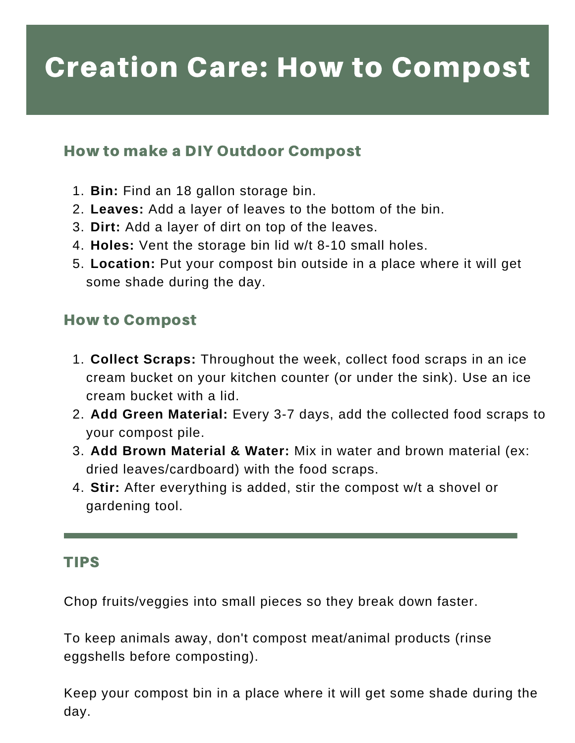## Creation Care: How to Compost

### How to make a DIY Outdoor Compost

- **Bin:** Find an 18 gallon storage bin. 1.
- **Leaves:** Add a layer of leaves to the bottom of the bin. 2.
- **Dirt:** Add a layer of dirt on top of the leaves. 3.
- **Holes:** Vent the storage bin lid w/t 8-10 small holes. 4.
- **Location:** Put your compost bin outside in a place where it will get 5. some shade during the day.

## How to Compost

- **Collect Scraps:** Throughout the week, collect food scraps in an ice 1. cream bucket on your kitchen counter (or under the sink). Use an ice cream bucket with a lid.
- **Add Green Material:** Every 3-7 days, add the collected food scraps to 2. your compost pile.
- **Add Brown Material & Water:** Mix in water and brown material (ex: 3. dried leaves/cardboard) with the food scraps.
- **Stir:** After everything is added, stir the compost w/t a shovel or 4. gardening tool.

### TIPS

Chop fruits/veggies into small pieces so they break down faster.

To keep animals away, don't compost meat/animal products (rinse eggshells before composting).

Keep your compost bin in a place where it will get some shade during the day.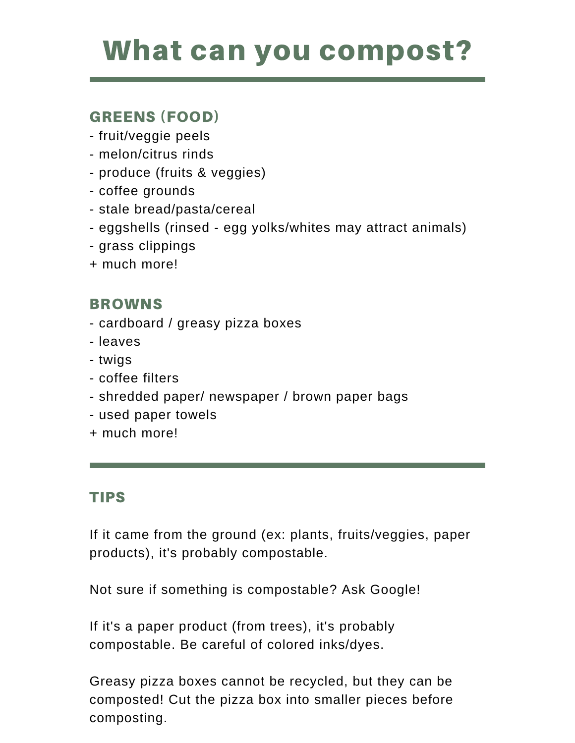## What can you compost?

## GREENS (FOOD)

- fruit/veggie peels
- melon/citrus rinds
- produce (fruits & veggies)
- coffee grounds
- stale bread/pasta/cereal
- eggshells (rinsed egg yolks/whites may attract animals)
- grass clippings
- + much more!

## BROWNS

- cardboard / greasy pizza boxes
- leaves
- twigs
- coffee filters
- shredded paper/ newspaper / brown paper bags
- used paper towels
- + much more!

## TIPS

If it came from the ground (ex: plants, fruits/veggies, paper products), it's probably compostable.

Not sure if something is compostable? Ask Google!

If it's a paper product (from trees), it's probably compostable. Be careful of colored inks/dyes.

Greasy pizza boxes cannot be recycled, but they can be composted! Cut the pizza box into smaller pieces before composting.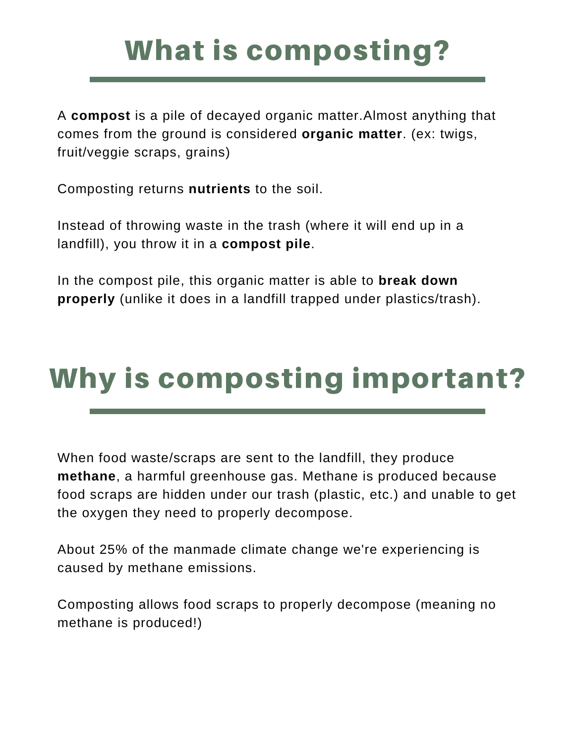# What is composting?

A **compost** is a pile of decayed organic matter.Almost anything that comes from the ground is considered **organic matter**. (ex: twigs, fruit/veggie scraps, grains)

Composting returns **nutrients** to the soil.

Instead of throwing waste in the trash (where it will end up in a landfill), you throw it in a **compost pile**.

In the compost pile, this organic matter is able to **break down properly** (unlike it does in a landfill trapped under plastics/trash).

# Why is composting important?

When food waste/scraps are sent to the landfill, they produce **methane**, a harmful greenhouse gas. Methane is produced because food scraps are hidden under our trash (plastic, etc.) and unable to get the oxygen they need to properly decompose.

About 25% of the manmade climate change we're experiencing is caused by methane emissions.

Composting allows food scraps to properly decompose (meaning no methane is produced!)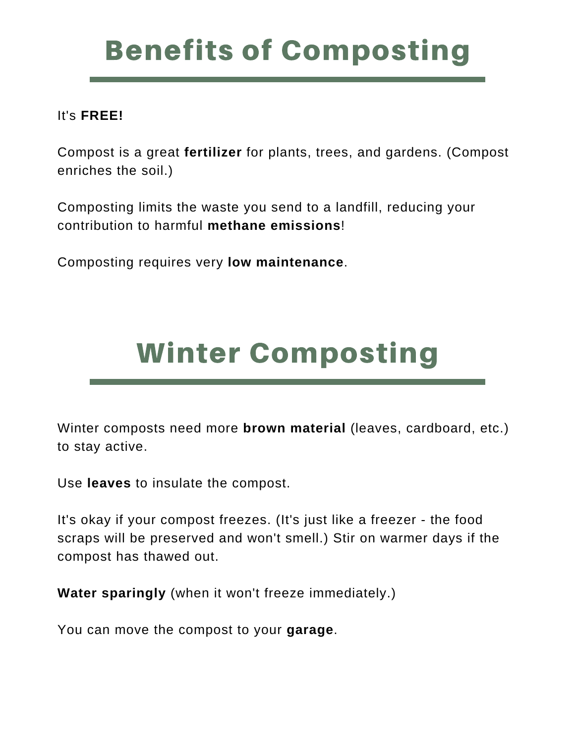# Benefits of Composting

### It's **FREE!**

Compost is a great **fertilizer** for plants, trees, and gardens. (Compost enriches the soil.)

Composting limits the waste you send to a landfill, reducing your contribution to harmful **methane emissions**!

Composting requires very **low maintenance**.

# Winter Composting

Winter composts need more **brown material** (leaves, cardboard, etc.) to stay active.

Use **leaves** to insulate the compost.

It's okay if your compost freezes. (It's just like a freezer - the food scraps will be preserved and won't smell.) Stir on warmer days if the compost has thawed out.

**Water sparingly** (when it won't freeze immediately.)

You can move the compost to your **garage**.